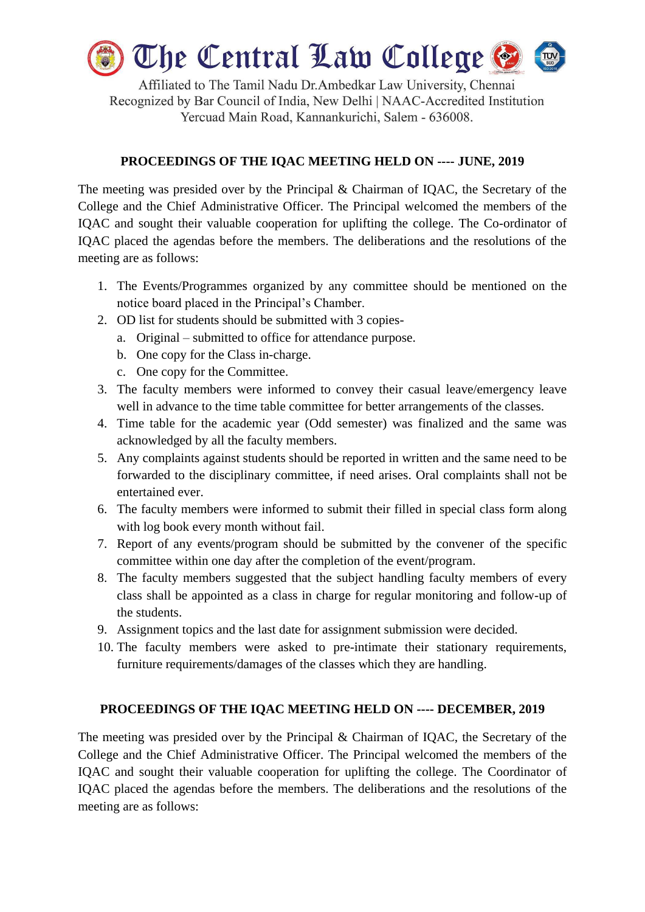

Affiliated to The Tamil Nadu Dr.Ambedkar Law University, Chennai Recognized by Bar Council of India, New Delhi | NAAC-Accredited Institution Yercuad Main Road, Kannankurichi, Salem - 636008.

## **PROCEEDINGS OF THE IQAC MEETING HELD ON ---- JUNE, 2019**

The meeting was presided over by the Principal & Chairman of IQAC, the Secretary of the College and the Chief Administrative Officer. The Principal welcomed the members of the IQAC and sought their valuable cooperation for uplifting the college. The Co-ordinator of IQAC placed the agendas before the members. The deliberations and the resolutions of the meeting are as follows:

- 1. The Events/Programmes organized by any committee should be mentioned on the notice board placed in the Principal's Chamber.
- 2. OD list for students should be submitted with 3 copies
	- a. Original submitted to office for attendance purpose.
	- b. One copy for the Class in-charge.
	- c. One copy for the Committee.
- 3. The faculty members were informed to convey their casual leave/emergency leave well in advance to the time table committee for better arrangements of the classes.
- 4. Time table for the academic year (Odd semester) was finalized and the same was acknowledged by all the faculty members.
- 5. Any complaints against students should be reported in written and the same need to be forwarded to the disciplinary committee, if need arises. Oral complaints shall not be entertained ever.
- 6. The faculty members were informed to submit their filled in special class form along with log book every month without fail.
- 7. Report of any events/program should be submitted by the convener of the specific committee within one day after the completion of the event/program.
- 8. The faculty members suggested that the subject handling faculty members of every class shall be appointed as a class in charge for regular monitoring and follow-up of the students.
- 9. Assignment topics and the last date for assignment submission were decided.
- 10. The faculty members were asked to pre-intimate their stationary requirements, furniture requirements/damages of the classes which they are handling.

## **PROCEEDINGS OF THE IQAC MEETING HELD ON ---- DECEMBER, 2019**

The meeting was presided over by the Principal & Chairman of IQAC, the Secretary of the College and the Chief Administrative Officer. The Principal welcomed the members of the IQAC and sought their valuable cooperation for uplifting the college. The Coordinator of IQAC placed the agendas before the members. The deliberations and the resolutions of the meeting are as follows: